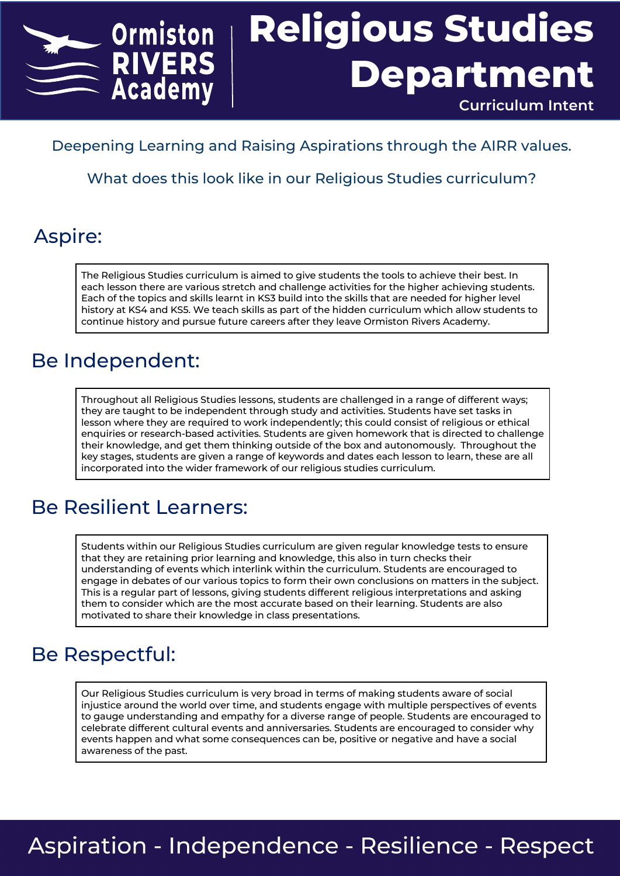

#### Deepening Learning and Raising Aspirations through the AIRR values.

What does this look like in our Religious Studies curriculum?

#### Aspire:

The Religious Studies curriculum is aimed to give students the tools to achieve their best. In each lesson there are various stretch and challenge activities for the higher achieving students. Each of the topics and skills learnt in KS3 build into the skills that are needed for higher level history at KS4 and KS5. We teach skills as part of the hidden curriculum which allow students to continue history and pursue future careers after they leave Ormiston Rivers Academy.

#### Be Independent:

Throughout all Religious Studies lessons, students are challenged in a range of different ways; they are taught to be independent through study and activities. Students have set tasks in lesson where they are required to work independently; this could consist of religious or ethical enquiries or research-based activities. Students are given homework that is directed to challenge their knowledge, and get them thinking outside of the box and autonomously. Throughout the key stages, students are given a range of keywords and dates each lesson to learn, these are all incorporated into the wider framework of our religious studies curriculum.

### Be Resilient Learners:

Students within our Religious Studies curriculum are given regular knowledge tests to ensure that they are retaining prior learning and knowledge, this also in turn checks their understanding of events which interlink within the curriculum. Students are encouraged to engage in debates of our various topics to form their own conclusions on matters in the subject. This is a regular part of lessons, giving students different religious interpretations and asking them to consider which are the most accurate based on their learning. Students are also motivated to share their knowledge in class presentations.

#### Be Respectful:

Our Religious Studies curriculum is very broad in terms of making students aware of social injustice around the world over time, and students engage with multiple perspectives of events to gauge understanding and empathy for a diverse range of people. Students are encouraged to celebrate different cultural events and anniversaries. Students are encouraged to consider why events happen and what some consequences can be, positive or negative and have a social awareness of the past.

## **Aspiration - Independence - Resilience - Respect**